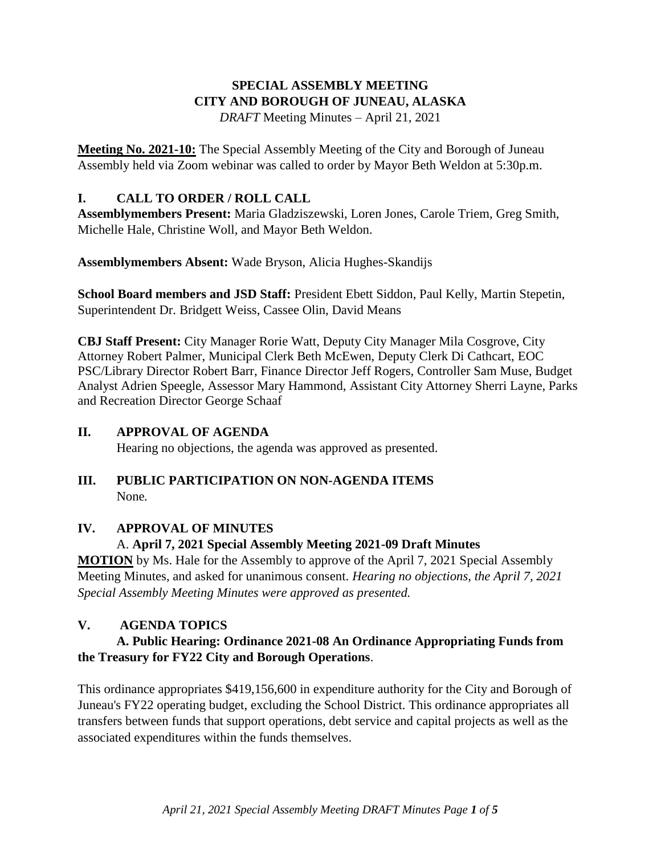# **SPECIAL ASSEMBLY MEETING CITY AND BOROUGH OF JUNEAU, ALASKA**

*DRAFT* Meeting Minutes – April 21, 2021

**Meeting No. 2021-10:** The Special Assembly Meeting of the City and Borough of Juneau Assembly held via Zoom webinar was called to order by Mayor Beth Weldon at 5:30p.m.

### **I. CALL TO ORDER / ROLL CALL**

**Assemblymembers Present:** Maria Gladziszewski, Loren Jones, Carole Triem, Greg Smith, Michelle Hale, Christine Woll, and Mayor Beth Weldon.

**Assemblymembers Absent:** Wade Bryson, Alicia Hughes-Skandijs

**School Board members and JSD Staff:** President Ebett Siddon, Paul Kelly, Martin Stepetin, Superintendent Dr. Bridgett Weiss, Cassee Olin, David Means

**CBJ Staff Present:** City Manager Rorie Watt, Deputy City Manager Mila Cosgrove, City Attorney Robert Palmer, Municipal Clerk Beth McEwen, Deputy Clerk Di Cathcart, EOC PSC/Library Director Robert Barr, Finance Director Jeff Rogers, Controller Sam Muse, Budget Analyst Adrien Speegle, Assessor Mary Hammond, Assistant City Attorney Sherri Layne, Parks and Recreation Director George Schaaf

# **II. APPROVAL OF AGENDA**

Hearing no objections, the agenda was approved as presented.

### **III. PUBLIC PARTICIPATION ON NON-AGENDA ITEMS** None*.*

# **IV. APPROVAL OF MINUTES**

# A. **April 7, 2021 Special Assembly Meeting 2021-09 Draft Minutes**

**MOTION** by Ms. Hale for the Assembly to approve of the April 7, 2021 Special Assembly Meeting Minutes, and asked for unanimous consent. *Hearing no objections, the April 7, 2021 Special Assembly Meeting Minutes were approved as presented.*

# **V. AGENDA TOPICS**

# **A. Public Hearing: Ordinance 2021-08 An Ordinance Appropriating Funds from the Treasury for FY22 City and Borough Operations**.

This ordinance appropriates \$419,156,600 in expenditure authority for the City and Borough of Juneau's FY22 operating budget, excluding the School District. This ordinance appropriates all transfers between funds that support operations, debt service and capital projects as well as the associated expenditures within the funds themselves.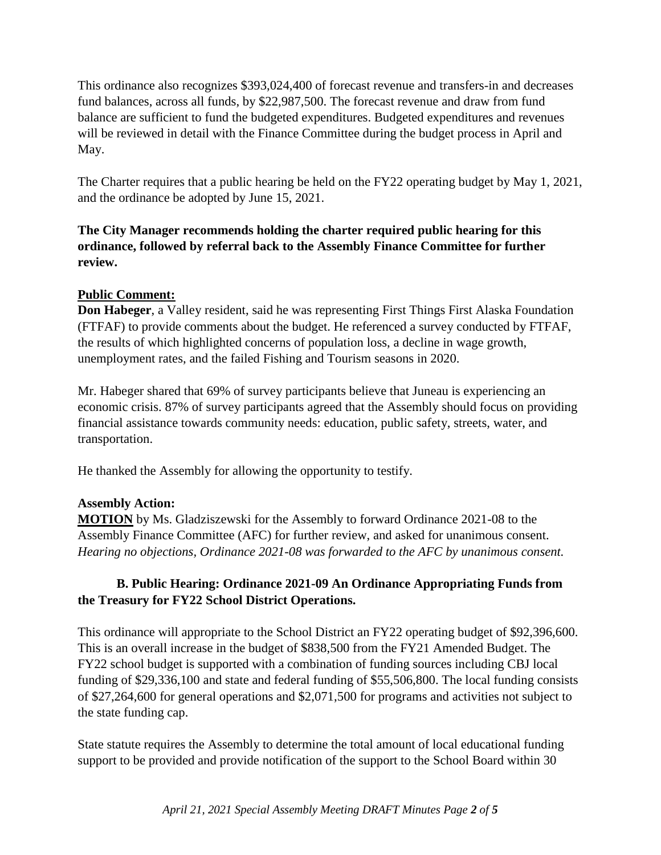This ordinance also recognizes \$393,024,400 of forecast revenue and transfers-in and decreases fund balances, across all funds, by \$22,987,500. The forecast revenue and draw from fund balance are sufficient to fund the budgeted expenditures. Budgeted expenditures and revenues will be reviewed in detail with the Finance Committee during the budget process in April and May.

The Charter requires that a public hearing be held on the FY22 operating budget by May 1, 2021, and the ordinance be adopted by June 15, 2021.

### **The City Manager recommends holding the charter required public hearing for this ordinance, followed by referral back to the Assembly Finance Committee for further review.**

### **Public Comment:**

**Don Habeger**, a Valley resident, said he was representing First Things First Alaska Foundation (FTFAF) to provide comments about the budget. He referenced a survey conducted by FTFAF, the results of which highlighted concerns of population loss, a decline in wage growth, unemployment rates, and the failed Fishing and Tourism seasons in 2020.

Mr. Habeger shared that 69% of survey participants believe that Juneau is experiencing an economic crisis. 87% of survey participants agreed that the Assembly should focus on providing financial assistance towards community needs: education, public safety, streets, water, and transportation.

He thanked the Assembly for allowing the opportunity to testify.

#### **Assembly Action:**

**MOTION** by Ms. Gladziszewski for the Assembly to forward Ordinance 2021-08 to the Assembly Finance Committee (AFC) for further review, and asked for unanimous consent. *Hearing no objections, Ordinance 2021-08 was forwarded to the AFC by unanimous consent.* 

### **B. Public Hearing: Ordinance 2021-09 An Ordinance Appropriating Funds from the Treasury for FY22 School District Operations.**

This ordinance will appropriate to the School District an FY22 operating budget of \$92,396,600. This is an overall increase in the budget of \$838,500 from the FY21 Amended Budget. The FY22 school budget is supported with a combination of funding sources including CBJ local funding of \$29,336,100 and state and federal funding of \$55,506,800. The local funding consists of \$27,264,600 for general operations and \$2,071,500 for programs and activities not subject to the state funding cap.

State statute requires the Assembly to determine the total amount of local educational funding support to be provided and provide notification of the support to the School Board within 30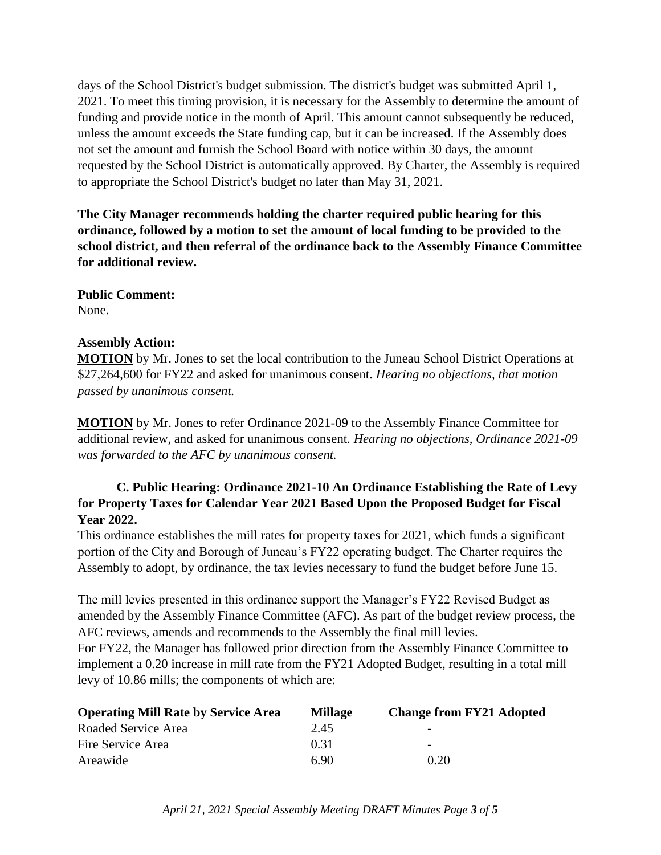days of the School District's budget submission. The district's budget was submitted April 1, 2021. To meet this timing provision, it is necessary for the Assembly to determine the amount of funding and provide notice in the month of April. This amount cannot subsequently be reduced, unless the amount exceeds the State funding cap, but it can be increased. If the Assembly does not set the amount and furnish the School Board with notice within 30 days, the amount requested by the School District is automatically approved. By Charter, the Assembly is required to appropriate the School District's budget no later than May 31, 2021.

**The City Manager recommends holding the charter required public hearing for this ordinance, followed by a motion to set the amount of local funding to be provided to the school district, and then referral of the ordinance back to the Assembly Finance Committee for additional review.**

**Public Comment:** None.

#### **Assembly Action:**

**MOTION** by Mr. Jones to set the local contribution to the Juneau School District Operations at \$27,264,600 for FY22 and asked for unanimous consent. *Hearing no objections, that motion passed by unanimous consent.*

**MOTION** by Mr. Jones to refer Ordinance 2021-09 to the Assembly Finance Committee for additional review, and asked for unanimous consent. *Hearing no objections, Ordinance 2021-09 was forwarded to the AFC by unanimous consent.* 

### **C. Public Hearing: Ordinance 2021-10 An Ordinance Establishing the Rate of Levy for Property Taxes for Calendar Year 2021 Based Upon the Proposed Budget for Fiscal Year 2022.**

This ordinance establishes the mill rates for property taxes for 2021, which funds a significant portion of the City and Borough of Juneau's FY22 operating budget. The Charter requires the Assembly to adopt, by ordinance, the tax levies necessary to fund the budget before June 15.

The mill levies presented in this ordinance support the Manager's FY22 Revised Budget as amended by the Assembly Finance Committee (AFC). As part of the budget review process, the AFC reviews, amends and recommends to the Assembly the final mill levies.

For FY22, the Manager has followed prior direction from the Assembly Finance Committee to implement a 0.20 increase in mill rate from the FY21 Adopted Budget, resulting in a total mill levy of 10.86 mills; the components of which are:

| <b>Operating Mill Rate by Service Area</b> | <b>Millage</b> | <b>Change from FY21 Adopted</b> |
|--------------------------------------------|----------------|---------------------------------|
| Roaded Service Area                        | 2.45           | $\overline{\phantom{0}}$        |
| Fire Service Area                          | 0.31           | $\overline{\phantom{0}}$        |
| Areawide                                   | 690            | 0.20                            |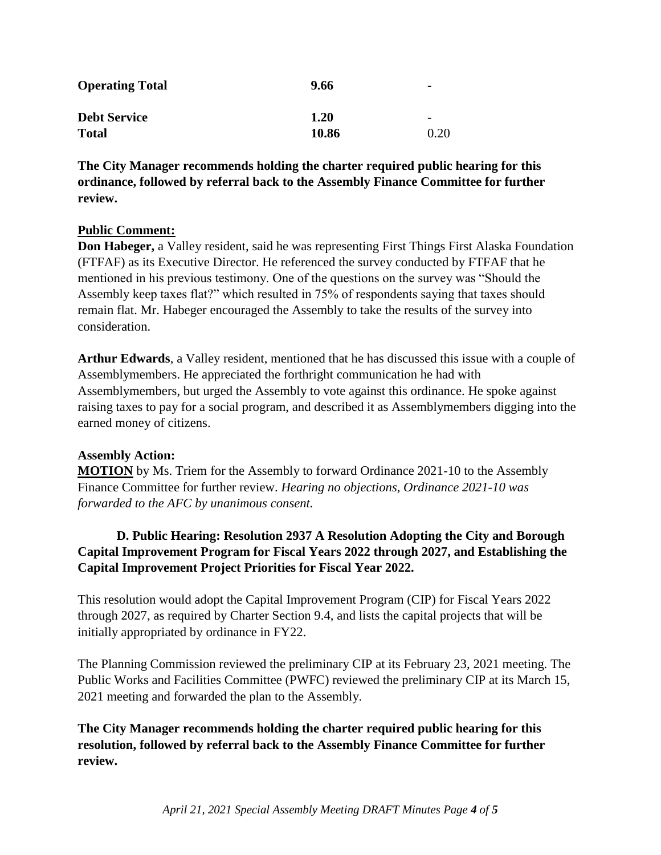| <b>Operating Total</b> | 9.66  | $\blacksquare$           |
|------------------------|-------|--------------------------|
| <b>Debt Service</b>    | 1.20  | $\overline{\phantom{0}}$ |
| <b>Total</b>           | 10.86 | 0.20                     |

**The City Manager recommends holding the charter required public hearing for this ordinance, followed by referral back to the Assembly Finance Committee for further review.**

#### **Public Comment:**

**Don Habeger,** a Valley resident, said he was representing First Things First Alaska Foundation (FTFAF) as its Executive Director. He referenced the survey conducted by FTFAF that he mentioned in his previous testimony. One of the questions on the survey was "Should the Assembly keep taxes flat?" which resulted in 75% of respondents saying that taxes should remain flat. Mr. Habeger encouraged the Assembly to take the results of the survey into consideration.

**Arthur Edwards**, a Valley resident, mentioned that he has discussed this issue with a couple of Assemblymembers. He appreciated the forthright communication he had with Assemblymembers, but urged the Assembly to vote against this ordinance. He spoke against raising taxes to pay for a social program, and described it as Assemblymembers digging into the earned money of citizens.

#### **Assembly Action:**

**MOTION** by Ms. Triem for the Assembly to forward Ordinance 2021-10 to the Assembly Finance Committee for further review. *Hearing no objections, Ordinance 2021-10 was forwarded to the AFC by unanimous consent.* 

# **D. Public Hearing: Resolution 2937 A Resolution Adopting the City and Borough Capital Improvement Program for Fiscal Years 2022 through 2027, and Establishing the Capital Improvement Project Priorities for Fiscal Year 2022.**

This resolution would adopt the Capital Improvement Program (CIP) for Fiscal Years 2022 through 2027, as required by Charter Section 9.4, and lists the capital projects that will be initially appropriated by ordinance in FY22.

The Planning Commission reviewed the preliminary CIP at its February 23, 2021 meeting. The Public Works and Facilities Committee (PWFC) reviewed the preliminary CIP at its March 15, 2021 meeting and forwarded the plan to the Assembly.

**The City Manager recommends holding the charter required public hearing for this resolution, followed by referral back to the Assembly Finance Committee for further review.**